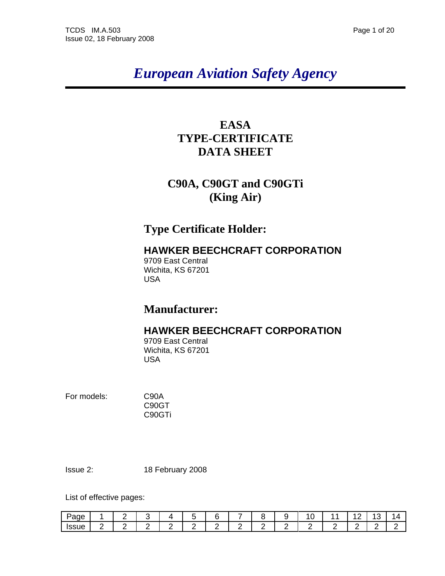# *European Aviation Safety Agency*

### **EASA TYPE-CERTIFICATE DATA SHEET**

## **C90A, C90GT and C90GTi (King Air)**

### **Type Certificate Holder:**

### **HAWKER BEECHCRAFT CORPORATION**

9709 East Central Wichita, KS 67201 USA

### **Manufacturer:**

### **HAWKER BEECHCRAFT CORPORATION**

9709 East Central Wichita, KS 67201 USA

For models: C90A

C90GT C90GTi

Issue 2: 18 February 2008

List of effective pages:

| -<br>Page<br>∼ |   | _ |   | . . |   |   | - |   |   | ∼ |   | ∼ | $\epsilon$ |
|----------------|---|---|---|-----|---|---|---|---|---|---|---|---|------------|
| <b>ISSUE</b>   | _ | - | - | -   | - | - | - | - | - |   | - | - |            |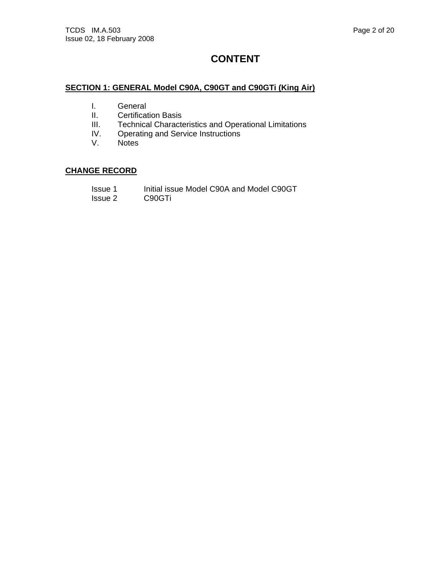### **CONTENT**

### **SECTION 1: GENERAL Model C90A, C90GT and C90GTi (King Air)**

- I. General
- II. Certification Basis<br>III. Technical Characte
- III. Technical Characteristics and Operational Limitations<br>IV. Operating and Service Instructions
- Operating and Service Instructions
- V. Notes

### **CHANGE RECORD**

- Issue 1 Initial issue Model C90A and Model C90GT<br>Issue 2 C90GTi
- C90GTi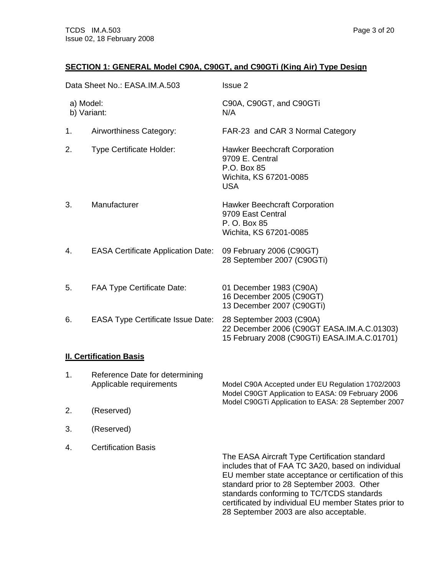### **SECTION 1: GENERAL Model C90A, C90GT, and C90GTi (King Air) Type Design**

|                          | Data Sheet No.: EASA.IM.A.503             | Issue 2                                                                                                                |
|--------------------------|-------------------------------------------|------------------------------------------------------------------------------------------------------------------------|
| a) Model:<br>b) Variant: |                                           | C90A, C90GT, and C90GTi<br>N/A                                                                                         |
| 1.                       | Airworthiness Category:                   | FAR-23 and CAR 3 Normal Category                                                                                       |
| 2.                       | <b>Type Certificate Holder:</b>           | Hawker Beechcraft Corporation<br>9709 E. Central<br>P.O. Box 85<br>Wichita, KS 67201-0085<br><b>USA</b>                |
| 3.                       | Manufacturer                              | <b>Hawker Beechcraft Corporation</b><br>9709 East Central<br>P. O. Box 85<br>Wichita, KS 67201-0085                    |
| 4.                       | <b>EASA Certificate Application Date:</b> | 09 February 2006 (C90GT)<br>28 September 2007 (C90GTi)                                                                 |
| 5.                       | <b>FAA Type Certificate Date:</b>         | 01 December 1983 (C90A)<br>16 December 2005 (C90GT)<br>13 December 2007 (C90GTi)                                       |
| 6.                       | <b>EASA Type Certificate Issue Date:</b>  | 28 September 2003 (C90A)<br>22 December 2006 (C90GT EASA.IM.A.C.01303)<br>15 February 2008 (C90GTi) EASA.IM.A.C.01701) |
|                          | <b>II. Certification Basis</b>            |                                                                                                                        |

|    | Reference Date for determining<br>Applicable requirements | Model C90A Accepted under EU Regulation 1702/2003<br>Model C90GT Application to EASA: 09 February 2006<br>Model C90GTi Application to EASA: 28 September 2007                                                                                                                                                |
|----|-----------------------------------------------------------|--------------------------------------------------------------------------------------------------------------------------------------------------------------------------------------------------------------------------------------------------------------------------------------------------------------|
| 2. | (Reserved)                                                |                                                                                                                                                                                                                                                                                                              |
| 3. | (Reserved)                                                |                                                                                                                                                                                                                                                                                                              |
| 4. | <b>Certification Basis</b>                                | The EASA Aircraft Type Certification standard<br>includes that of FAA TC 3A20, based on individual<br>EU member state acceptance or certification of this<br>standard prior to 28 September 2003. Other<br>standards conforming to TC/TCDS standards<br>certificated by individual EU member States prior to |

28 September 2003 are also acceptable.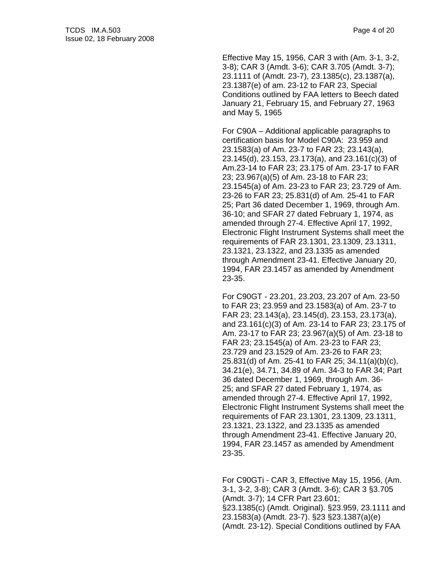Effective May 15, 1956, CAR 3 with (Am. 3-1, 3-2, 3-8); CAR 3 (Amdt. 3-6); CAR 3.705 (Amdt. 3-7); 23.1111 of (Amdt. 23-7), 23.1385(c), 23.1387(a), 23.1387(e) of am. 23-12 to FAR 23, Special Conditions outlined by FAA letters to Beech dated January 21, February 15, and February 27, 1963 and May 5, 1965

 For C90A – Additional applicable paragraphs to certification basis for Model C90A: 23.959 and 23.1583(a) of Am. 23-7 to FAR 23; 23.143(a), 23.145(d), 23.153, 23.173(a), and 23.161(c)(3) of Am.23-14 to FAR 23; 23.175 of Am. 23-17 to FAR 23; 23.967(a)(5) of Am. 23-18 to FAR 23; 23.1545(a) of Am. 23-23 to FAR 23; 23.729 of Am. 23-26 to FAR 23; 25.831(d) of Am. 25-41 to FAR 25; Part 36 dated December 1, 1969, through Am. 36-10; and SFAR 27 dated February 1, 1974, as amended through 27-4. Effective April 17, 1992, Electronic Flight Instrument Systems shall meet the requirements of FAR 23.1301, 23.1309, 23.1311, 23.1321, 23.1322, and 23.1335 as amended through Amendment 23-41. Effective January 20, 1994, FAR 23.1457 as amended by Amendment 23-35.

 For C90GT - 23.201, 23.203, 23.207 of Am. 23-50 to FAR 23; 23.959 and 23.1583(a) of Am. 23-7 to FAR 23; 23.143(a), 23.145(d), 23.153, 23.173(a), and 23.161(c)(3) of Am. 23-14 to FAR 23; 23.175 of Am. 23-17 to FAR 23; 23.967(a)(5) of Am. 23-18 to FAR 23; 23.1545(a) of Am. 23-23 to FAR 23; 23.729 and 23.1529 of Am. 23-26 to FAR 23; 25.831(d) of Am. 25-41 to FAR 25; 34.11(a)(b)(c), 34.21(e), 34.71, 34.89 of Am. 34-3 to FAR 34; Part 36 dated December 1, 1969, through Am. 36- 25; and SFAR 27 dated February 1, 1974, as amended through 27-4. Effective April 17, 1992, Electronic Flight Instrument Systems shall meet the requirements of FAR 23.1301, 23.1309, 23.1311, 23.1321, 23.1322, and 23.1335 as amended through Amendment 23-41. Effective January 20, 1994, FAR 23.1457 as amended by Amendment 23-35.

 For C90GTi - CAR 3, Effective May 15, 1956, (Am. 3-1, 3-2, 3-8); CAR 3 (Amdt. 3-6); CAR 3 §3.705 (Amdt. 3-7); 14 CFR Part 23.601; §23.1385(c) (Amdt. Original). §23.959, 23.1111 and 23.1583(a) (Amdt. 23-7). §23 §23.1387(a)(e) (Amdt. 23-12). Special Conditions outlined by FAA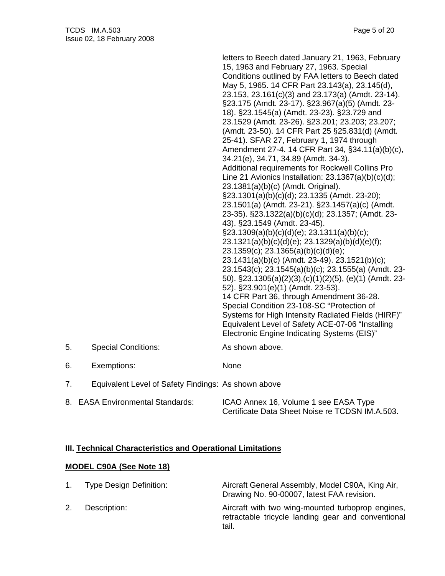|    |                                                     | letters to Beech dated January 21, 1963, February<br>15, 1963 and February 27, 1963. Special<br>Conditions outlined by FAA letters to Beech dated<br>May 5, 1965. 14 CFR Part 23.143(a), 23.145(d),<br>23.153, 23.161(c)(3) and 23.173(a) (Amdt. 23-14).<br>§23.175 (Amdt. 23-17). §23.967(a)(5) (Amdt. 23-<br>18). §23.1545(a) (Amdt. 23-23). §23.729 and<br>23.1529 (Amdt. 23-26). §23.201; 23.203; 23.207;<br>(Amdt. 23-50). 14 CFR Part 25 §25.831(d) (Amdt.<br>25-41). SFAR 27, February 1, 1974 through<br>Amendment 27-4. 14 CFR Part 34, §34.11(a)(b)(c),<br>34.21(e), 34.71, 34.89 (Amdt. 34-3).<br>Additional requirements for Rockwell Collins Pro<br>Line 21 Avionics Installation: $23.1367(a)(b)(c)(d);$<br>23.1381(a)(b)(c) (Amdt. Original).<br>§23.1301(a)(b)(c)(d); 23.1335 (Amdt. 23-20);<br>23.1501(a) (Amdt. 23-21). §23.1457(a)(c) (Amdt.<br>23-35). §23.1322(a)(b)(c)(d); 23.1357; (Amdt. 23-<br>43). §23.1549 (Amdt. 23-45).<br>$\S$ 23.1309(a)(b)(c)(d)(e); 23.1311(a)(b)(c);<br>23.1321(a)(b)(c)(d)(e); 23.1329(a)(b)(d)(e)(f);<br>23.1359(c); 23.1365(a)(b)(c)(d)(e);<br>23.1431(a)(b)(c) (Amdt. 23-49). 23.1521(b)(c);<br>23.1543(c); 23.1545(a)(b)(c); 23.1555(a) (Amdt. 23-<br>50). §23.1305(a)(2)(3),(c)(1)(2)(5), (e)(1) (Amdt. 23-<br>52). §23.901(e)(1) (Amdt. 23-53).<br>14 CFR Part 36, through Amendment 36-28.<br>Special Condition 23-108-SC "Protection of<br>Systems for High Intensity Radiated Fields (HIRF)"<br>Equivalent Level of Safety ACE-07-06 "Installing<br>Electronic Engine Indicating Systems (EIS)" |
|----|-----------------------------------------------------|-------------------------------------------------------------------------------------------------------------------------------------------------------------------------------------------------------------------------------------------------------------------------------------------------------------------------------------------------------------------------------------------------------------------------------------------------------------------------------------------------------------------------------------------------------------------------------------------------------------------------------------------------------------------------------------------------------------------------------------------------------------------------------------------------------------------------------------------------------------------------------------------------------------------------------------------------------------------------------------------------------------------------------------------------------------------------------------------------------------------------------------------------------------------------------------------------------------------------------------------------------------------------------------------------------------------------------------------------------------------------------------------------------------------------------------------------------------------------------------------------------------------------------------------------------------|
| 5. | <b>Special Conditions:</b>                          | As shown above.                                                                                                                                                                                                                                                                                                                                                                                                                                                                                                                                                                                                                                                                                                                                                                                                                                                                                                                                                                                                                                                                                                                                                                                                                                                                                                                                                                                                                                                                                                                                             |
| 6. | Exemptions:                                         | None                                                                                                                                                                                                                                                                                                                                                                                                                                                                                                                                                                                                                                                                                                                                                                                                                                                                                                                                                                                                                                                                                                                                                                                                                                                                                                                                                                                                                                                                                                                                                        |
| 7. | Equivalent Level of Safety Findings: As shown above |                                                                                                                                                                                                                                                                                                                                                                                                                                                                                                                                                                                                                                                                                                                                                                                                                                                                                                                                                                                                                                                                                                                                                                                                                                                                                                                                                                                                                                                                                                                                                             |
|    | 8. EASA Environmental Standards:                    | ICAO Annex 16, Volume 1 see EASA Type<br>Certificate Data Sheet Noise re TCDSN IM.A.503.                                                                                                                                                                                                                                                                                                                                                                                                                                                                                                                                                                                                                                                                                                                                                                                                                                                                                                                                                                                                                                                                                                                                                                                                                                                                                                                                                                                                                                                                    |

### **III. Technical Characteristics and Operational Limitations**

#### **MODEL C90A (See Note 18)**

| 1. | <b>Type Design Definition:</b> | Aircraft General Assembly, Model C90A, King Air,<br>Drawing No. 90-00007, latest FAA revision.                   |
|----|--------------------------------|------------------------------------------------------------------------------------------------------------------|
| 2. | Description:                   | Aircraft with two wing-mounted turboprop engines,<br>retractable tricycle landing gear and conventional<br>tail. |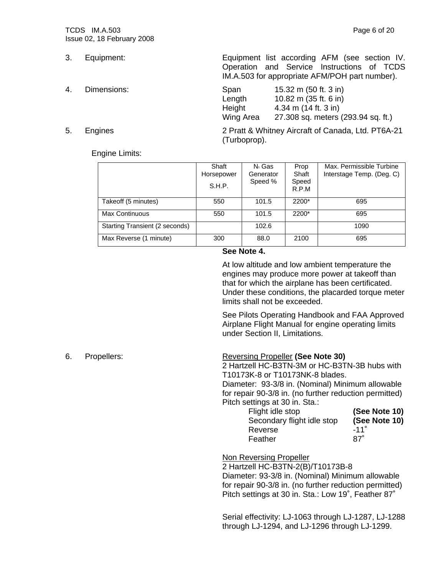- 
- 4. Dimensions:
- 

3. Equipment: Equipment list according AFM (see section IV. Operation and Service Instructions of TCDS IM.A.503 for appropriate AFM/POH part number).

| Span      | 15.32 m (50 ft. 3 in)              |
|-----------|------------------------------------|
| Length    | 10.82 m (35 ft. 6 in)              |
| Height    | 4.34 m $(14 ft. 3 in)$             |
| Wing Area | 27.308 sq. meters (293.94 sq. ft.) |

5. Engines 2 Pratt & Whitney Aircraft of Canada, Ltd. PT6A-21 (Turboprop).

#### Engine Limits:

|                                | Shaft<br>Horsepower<br>S.H.P. | $N_1$ Gas<br>Generator<br>Speed % | Prop<br>Shaft<br>Speed<br>R.P.M | Max. Permissible Turbine<br>Interstage Temp. (Deg. C) |
|--------------------------------|-------------------------------|-----------------------------------|---------------------------------|-------------------------------------------------------|
| Takeoff (5 minutes)            | 550                           | 101.5                             | 2200*                           | 695                                                   |
| Max Continuous                 | 550                           | 101.5                             | 2200*                           | 695                                                   |
| Starting Transient (2 seconds) |                               | 102.6                             |                                 | 1090                                                  |
| Max Reverse (1 minute)         | 300                           | 88.0                              | 2100                            | 695                                                   |

#### **See Note 4.**

At low altitude and low ambient temperature the engines may produce more power at takeoff than that for which the airplane has been certificated. Under these conditions, the placarded torque meter limits shall not be exceeded.

See Pilots Operating Handbook and FAA Approved Airplane Flight Manual for engine operating limits under Section II, Limitations.

#### 6. Propellers: Reversing Propeller **(See Note 30)**

2 Hartzell HC-B3TN-3M or HC-B3TN-3B hubs with T10173K-8 or T10173NK-8 blades.

Diameter: 93-3/8 in. (Nominal) Minimum allowable for repair 90-3/8 in. (no further reduction permitted) Pitch settings at 30 in. Sta.:

| Flight idle stop           | (See Note 10) |
|----------------------------|---------------|
| Secondary flight idle stop | (See Note 10) |
| Reverse                    | $-11°$        |
| Feather                    | 87°           |

#### Non Reversing Propeller

2 Hartzell HC-B3TN-2(B)/T10173B-8 Diameter: 93-3/8 in. (Nominal) Minimum allowable for repair 90-3/8 in. (no further reduction permitted) Pitch settings at 30 in. Sta.: Low 19˚, Feather 87˚

Serial effectivity: LJ-1063 through LJ-1287, LJ-1288 through LJ-1294, and LJ-1296 through LJ-1299.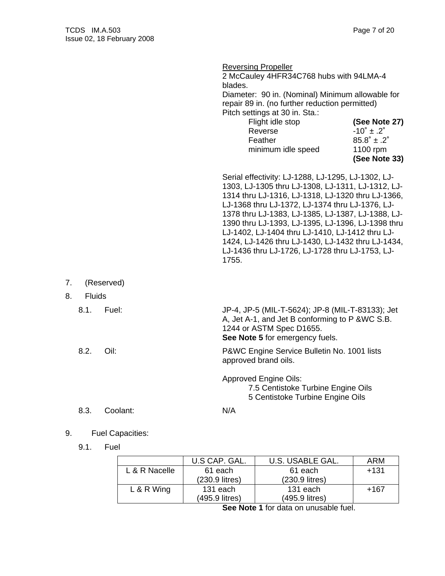|    |                       |            | <b>Reversing Propeller</b><br>2 McCauley 4HFR34C768 hubs with 94LMA-4<br>blades.<br>Diameter: 90 in. (Nominal) Minimum allowable for<br>repair 89 in. (no further reduction permitted)<br>Pitch settings at 30 in. Sta.:<br>Flight idle stop<br>Reverse<br>Feather<br>minimum idle speed                                                                                                                                                                                                      | (See Note 27)<br>$-10^{\circ} \pm .2^{\circ}$<br>$85.8^{\circ}$ ± .2 $^{\circ}$<br>1100 rpm<br>(See Note 33) |
|----|-----------------------|------------|-----------------------------------------------------------------------------------------------------------------------------------------------------------------------------------------------------------------------------------------------------------------------------------------------------------------------------------------------------------------------------------------------------------------------------------------------------------------------------------------------|--------------------------------------------------------------------------------------------------------------|
|    |                       |            | Serial effectivity: LJ-1288, LJ-1295, LJ-1302, LJ-<br>1303, LJ-1305 thru LJ-1308, LJ-1311, LJ-1312, LJ-<br>1314 thru LJ-1316, LJ-1318, LJ-1320 thru LJ-1366,<br>LJ-1368 thru LJ-1372, LJ-1374 thru LJ-1376, LJ-<br>1378 thru LJ-1383, LJ-1385, LJ-1387, LJ-1388, LJ-<br>1390 thru LJ-1393, LJ-1395, LJ-1396, LJ-1398 thru<br>LJ-1402, LJ-1404 thru LJ-1410, LJ-1412 thru LJ-<br>1424, LJ-1426 thru LJ-1430, LJ-1432 thru LJ-1434,<br>LJ-1436 thru LJ-1726, LJ-1728 thru LJ-1753, LJ-<br>1755. |                                                                                                              |
| 7. |                       | (Reserved) |                                                                                                                                                                                                                                                                                                                                                                                                                                                                                               |                                                                                                              |
| 8. | <b>Fluids</b><br>8.1. | Fuel:      | JP-4, JP-5 (MIL-T-5624); JP-8 (MIL-T-83133); Jet<br>A, Jet A-1, and Jet B conforming to P & WC S.B.<br>1244 or ASTM Spec D1655.<br>See Note 5 for emergency fuels.                                                                                                                                                                                                                                                                                                                            |                                                                                                              |
|    | 8.2.                  | Oil:       | P&WC Engine Service Bulletin No. 1001 lists<br>approved brand oils.                                                                                                                                                                                                                                                                                                                                                                                                                           |                                                                                                              |
|    |                       |            | <b>Approved Engine Oils:</b><br>7.5 Centistoke Turbine Engine Oils<br>5 Centistoke Turbine Engine Oils                                                                                                                                                                                                                                                                                                                                                                                        |                                                                                                              |
|    | 8.3.                  | Coolant:   | N/A                                                                                                                                                                                                                                                                                                                                                                                                                                                                                           |                                                                                                              |

### 9. Fuel Capacities:

9.1. Fuel

|               | U.S CAP. GAL.  | U.S. USABLE GAL. | <b>ARM</b> |
|---------------|----------------|------------------|------------|
| L & R Nacelle | 61 each        | 61 each          | $+131$     |
|               | (230.9 litres) | (230.9 litres)   |            |
| $L & R$ Wing  | 131 each       | 131 each         | $+167$     |
|               | (495.9 litres) | (495.9 litres)   |            |

 **See Note 1** for data on unusable fuel.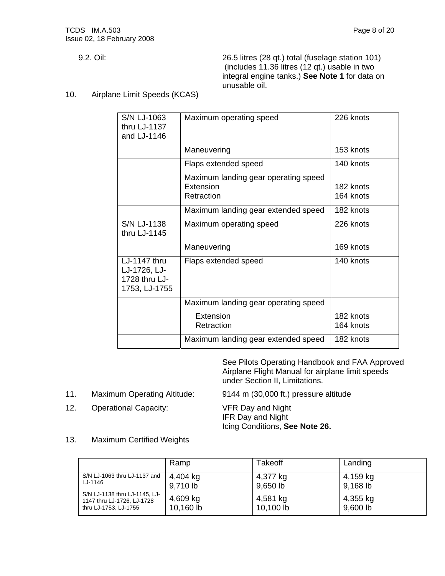9.2. Oil: 26.5 litres (28 qt.) total (fuselage station 101) (includes 11.36 litres (12 qt.) usable in two integral engine tanks.) **See Note 1** for data on unusable oil.

10. Airplane Limit Speeds (KCAS)

| S/N LJ-1063<br>thru LJ-1137<br>and LJ-1146                     | Maximum operating speed                                         | 226 knots              |
|----------------------------------------------------------------|-----------------------------------------------------------------|------------------------|
|                                                                | Maneuvering                                                     | 153 knots              |
|                                                                | Flaps extended speed                                            | 140 knots              |
|                                                                | Maximum landing gear operating speed<br>Extension<br>Retraction | 182 knots<br>164 knots |
|                                                                | Maximum landing gear extended speed                             | 182 knots              |
| S/N LJ-1138<br>thru LJ-1145                                    | Maximum operating speed                                         | 226 knots              |
|                                                                | Maneuvering                                                     | 169 knots              |
| LJ-1147 thru<br>LJ-1726, LJ-<br>1728 thru LJ-<br>1753, LJ-1755 | Flaps extended speed                                            | 140 knots              |
|                                                                | Maximum landing gear operating speed                            |                        |
|                                                                | Extension<br>Retraction                                         | 182 knots<br>164 knots |
|                                                                | Maximum landing gear extended speed                             | 182 knots              |

 See Pilots Operating Handbook and FAA Approved Airplane Flight Manual for airplane limit speeds under Section II, Limitations.

11. Maximum Operating Altitude: 9144 m (30,000 ft.) pressure altitude

12. Operational Capacity: VFR Day and Night

 IFR Day and Night Icing Conditions, **See Note 26.**

13. Maximum Certified Weights

|                                                                                      | Ramp                  | Takeoff               | Landing              |
|--------------------------------------------------------------------------------------|-----------------------|-----------------------|----------------------|
| S/N LJ-1063 thru LJ-1137 and<br>LJ-1146                                              | 4,404 kg<br>9,710 lb  | 4,377 kg<br>9,650 lb  | 4,159 kg<br>9,168 lb |
| S/N LJ-1138 thru LJ-1145, LJ-<br>1147 thru LJ-1726, LJ-1728<br>thru LJ-1753, LJ-1755 | 4,609 kg<br>10,160 lb | 4,581 kg<br>10,100 lb | 4,355 kg<br>9,600 lb |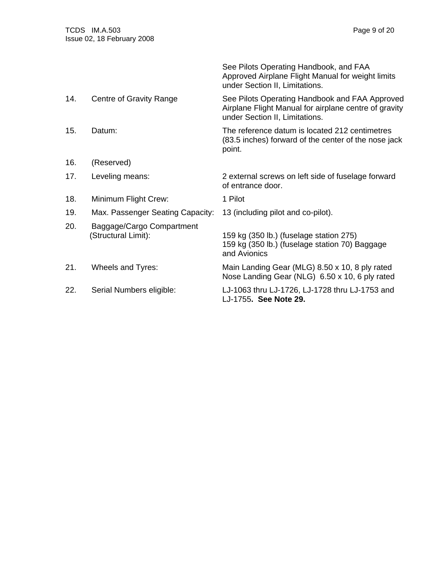|     |                                                  | See Pilots Operating Handbook, and FAA<br>Approved Airplane Flight Manual for weight limits<br>under Section II, Limitations.             |
|-----|--------------------------------------------------|-------------------------------------------------------------------------------------------------------------------------------------------|
| 14. | Centre of Gravity Range                          | See Pilots Operating Handbook and FAA Approved<br>Airplane Flight Manual for airplane centre of gravity<br>under Section II, Limitations. |
| 15. | Datum:                                           | The reference datum is located 212 centimetres<br>(83.5 inches) forward of the center of the nose jack<br>point.                          |
| 16. | (Reserved)                                       |                                                                                                                                           |
| 17. | Leveling means:                                  | 2 external screws on left side of fuselage forward<br>of entrance door.                                                                   |
| 18. | Minimum Flight Crew:                             | 1 Pilot                                                                                                                                   |
| 19. | Max. Passenger Seating Capacity:                 | 13 (including pilot and co-pilot).                                                                                                        |
| 20. | Baggage/Cargo Compartment<br>(Structural Limit): | 159 kg (350 lb.) (fuselage station 275)<br>159 kg (350 lb.) (fuselage station 70) Baggage<br>and Avionics                                 |
| 21. | Wheels and Tyres:                                | Main Landing Gear (MLG) 8.50 x 10, 8 ply rated<br>Nose Landing Gear (NLG) 6.50 x 10, 6 ply rated                                          |
| 22. | Serial Numbers eligible:                         | LJ-1063 thru LJ-1726, LJ-1728 thru LJ-1753 and<br>LJ-1755. See Note 29.                                                                   |
|     |                                                  |                                                                                                                                           |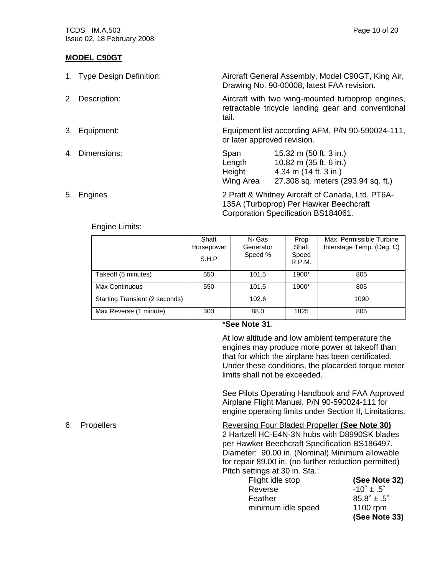#### **MODEL C90GT**

| 1. Type Design Definition: | Aircraft General Assembly, Model C90GT, King Air,<br>Drawing No. 90-00008, latest FAA revision.                                                            |  |  |
|----------------------------|------------------------------------------------------------------------------------------------------------------------------------------------------------|--|--|
| 2. Description:            | Aircraft with two wing-mounted turboprop engines,<br>retractable tricycle landing gear and conventional<br>tail.                                           |  |  |
| 3. Equipment:              | Equipment list according AFM, P/N 90-590024-111,<br>or later approved revision.                                                                            |  |  |
| 4. Dimensions:             | 15.32 m (50 ft. 3 in.)<br>Span<br>10.82 m (35 ft. 6 in.)<br>Length<br>Height<br>4.34 m $(14 ft. 3 in.)$<br>Wing Area<br>27.308 sq. meters (293.94 sq. ft.) |  |  |

5. Engines 2 Pratt & Whitney Aircraft of Canada, Ltd. PT6A- 135A (Turboprop) Per Hawker Beechcraft Corporation Specification BS184061.

#### Engine Limits:

|                                | Shaft<br>Horsepower<br>S.H.P | N <sub>1</sub> Gas<br>Generator<br>Speed % | Prop<br>Shaft<br>Speed<br>R.P.M. | Max. Permissible Turbine<br>Interstage Temp. (Deg. C) |
|--------------------------------|------------------------------|--------------------------------------------|----------------------------------|-------------------------------------------------------|
| Takeoff (5 minutes)            | 550                          | 101.5                                      | 1900*                            | 805                                                   |
| Max Continuous                 | 550                          | 101.5                                      | 1900*                            | 805                                                   |
| Starting Transient (2 seconds) |                              | 102.6                                      |                                  | 1090                                                  |
| Max Reverse (1 minute)         | 300                          | 88.0                                       | 1825                             | 805                                                   |

\***See Note 31**.

At low altitude and low ambient temperature the engines may produce more power at takeoff than that for which the airplane has been certificated. Under these conditions, the placarded torque meter limits shall not be exceeded.

See Pilots Operating Handbook and FAA Approved Airplane Flight Manual, P/N 90-590024-111 for engine operating limits under Section II, Limitations.

#### 6. Propellers Reversing Four Bladed Propeller **(See Note 30)** 2 Hartzell HC-E4N-3N hubs with D8990SK blades

per Hawker Beechcraft Specification BS186497. Diameter: 90.00 in. (Nominal) Minimum allowable for repair 89.00 in. (no further reduction permitted) Pitch settings at 30 in. Sta.:

| Flight idle stop   | (See Note 32)                 |
|--------------------|-------------------------------|
| Reverse            | $-10^{\circ}$ ± .5 $^{\circ}$ |
| Feather            | $85.8^{\circ} \pm .5^{\circ}$ |
| minimum idle speed | 1100 rpm                      |
|                    | (See Note 33)                 |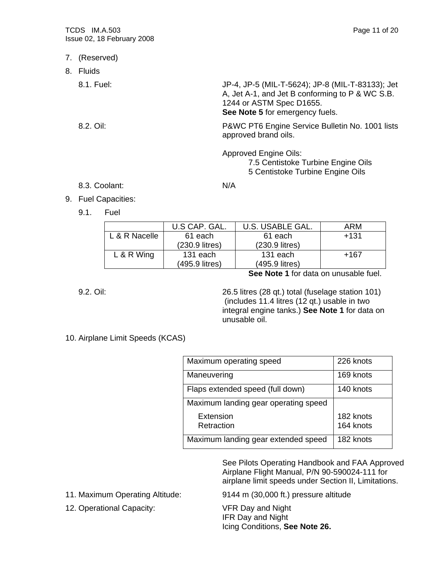|    | <b>TCDS IM.A.503</b><br>Issue 02, 18 February 2008 | Page 11 of 20                                                                                                                                                      |
|----|----------------------------------------------------|--------------------------------------------------------------------------------------------------------------------------------------------------------------------|
|    | 7. (Reserved)                                      |                                                                                                                                                                    |
| 8. | Fluids                                             |                                                                                                                                                                    |
|    | 8.1. Fuel:                                         | JP-4, JP-5 (MIL-T-5624); JP-8 (MIL-T-83133); Jet<br>A, Jet A-1, and Jet B conforming to P & WC S.B.<br>1244 or ASTM Spec D1655.<br>See Note 5 for emergency fuels. |
|    | 8.2. Oil:                                          | P&WC PT6 Engine Service Bulletin No. 1001 lists<br>approved brand oils.                                                                                            |
|    |                                                    | <b>Approved Engine Oils:</b><br>7.5 Centistoke Turbine Engine Oils<br>5 Centistoke Turbine Engine Oils                                                             |
|    | 8.3. Coolant:                                      | N/A                                                                                                                                                                |
| റ  | <b>Eugl Conneities:</b>                            |                                                                                                                                                                    |

- 9. Fuel Capacities:
	- 9.1. Fuel

| U.S CAP. GAL.  | U.S. USABLE GAL. | ARM    |
|----------------|------------------|--------|
| 61 each        | 61 each          | $+131$ |
| (230.9 litres) | $(230.9$ litres) |        |
| 131 each       | 131 each         | +167   |
| (495.9 litres) | (495.9 litres)   |        |
|                |                  |        |

**See Note 1** for data on unusable fuel.

9.2. Oil: 26.5 litres (28 qt.) total (fuselage station 101) (includes 11.4 litres (12 qt.) usable in two integral engine tanks.) **See Note 1** for data on unusable oil.

### 10. Airplane Limit Speeds (KCAS)

| Maximum operating speed              | 226 knots |
|--------------------------------------|-----------|
| Maneuvering                          | 169 knots |
| Flaps extended speed (full down)     | 140 knots |
| Maximum landing gear operating speed |           |
| Extension                            | 182 knots |
| Retraction                           | 164 knots |
| Maximum landing gear extended speed  | 182 knots |

 See Pilots Operating Handbook and FAA Approved Airplane Flight Manual, P/N 90-590024-111 for airplane limit speeds under Section II, Limitations.

12. Operational Capacity: VFR Day and Night

11. Maximum Operating Altitude: 9144 m (30,000 ft.) pressure altitude

 IFR Day and Night Icing Conditions, **See Note 26.**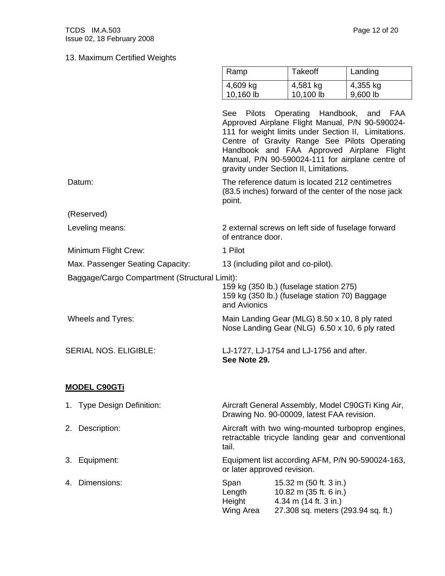Ramp Takeoff Landing

|                                               | 4,609 kg<br>10,160 lb                                                                                                                                                                                                                                                                                     | 4,581 kg<br>10,100 lb                                                                                           | 4,355 kg<br>9,600 lb |  |  |
|-----------------------------------------------|-----------------------------------------------------------------------------------------------------------------------------------------------------------------------------------------------------------------------------------------------------------------------------------------------------------|-----------------------------------------------------------------------------------------------------------------|----------------------|--|--|
|                                               | See<br>Approved Airplane Flight Manual, P/N 90-590024-<br>111 for weight limits under Section II, Limitations.<br>Centre of Gravity Range See Pilots Operating<br>Handbook and FAA Approved Airplane Flight<br>Manual, P/N 90-590024-111 for airplane centre of<br>gravity under Section II, Limitations. | Pilots Operating Handbook, and                                                                                  | FAA                  |  |  |
| Datum:                                        | The reference datum is located 212 centimetres<br>(83.5 inches) forward of the center of the nose jack<br>point.                                                                                                                                                                                          |                                                                                                                 |                      |  |  |
| (Reserved)                                    |                                                                                                                                                                                                                                                                                                           |                                                                                                                 |                      |  |  |
| Leveling means:                               | 2 external screws on left side of fuselage forward<br>of entrance door.                                                                                                                                                                                                                                   |                                                                                                                 |                      |  |  |
| Minimum Flight Crew:                          | 1 Pilot                                                                                                                                                                                                                                                                                                   |                                                                                                                 |                      |  |  |
| Max. Passenger Seating Capacity:              |                                                                                                                                                                                                                                                                                                           | 13 (including pilot and co-pilot).                                                                              |                      |  |  |
| Baggage/Cargo Compartment (Structural Limit): | 159 kg (350 lb.) (fuselage station 275)<br>159 kg (350 lb.) (fuselage station 70) Baggage<br>and Avionics                                                                                                                                                                                                 |                                                                                                                 |                      |  |  |
| Wheels and Tyres:                             | Main Landing Gear (MLG) 8.50 x 10, 8 ply rated<br>Nose Landing Gear (NLG) 6.50 x 10, 6 ply rated                                                                                                                                                                                                          |                                                                                                                 |                      |  |  |
| SERIAL NOS. ELIGIBLE:                         | LJ-1727, LJ-1754 and LJ-1756 and after.<br>See Note 29.                                                                                                                                                                                                                                                   |                                                                                                                 |                      |  |  |
| <b>MODEL C90GTi</b>                           |                                                                                                                                                                                                                                                                                                           |                                                                                                                 |                      |  |  |
| 1. Type Design Definition:                    | Aircraft General Assembly, Model C90GTi King Air,<br>Drawing No. 90-00009, latest FAA revision.                                                                                                                                                                                                           |                                                                                                                 |                      |  |  |
| 2. Description:                               | Aircraft with two wing-mounted turboprop engines,<br>retractable tricycle landing gear and conventional<br>tail.                                                                                                                                                                                          |                                                                                                                 |                      |  |  |
| 3.<br>Equipment:                              | Equipment list according AFM, P/N 90-590024-163,<br>or later approved revision.                                                                                                                                                                                                                           |                                                                                                                 |                      |  |  |
| 4. Dimensions:                                | Span<br>Length<br>Height<br>Wing Area                                                                                                                                                                                                                                                                     | 15.32 m (50 ft. 3 in.)<br>10.82 m (35 ft. 6 in.)<br>4.34 m (14 ft. 3 in.)<br>27.308 sq. meters (293.94 sq. ft.) |                      |  |  |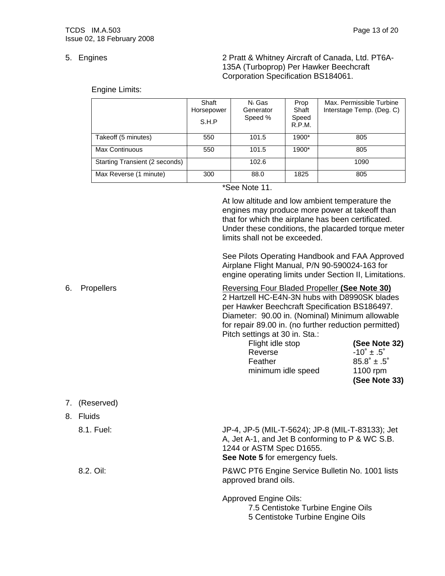5. Engines 2 Pratt & Whitney Aircraft of Canada, Ltd. PT6A- 135A (Turboprop) Per Hawker Beechcraft Corporation Specification BS184061.

Engine Limits:

|                                | Shaft<br>Horsepower<br>S.H.P | N <sub>1</sub> Gas<br>Generator<br>Speed % | Prop<br>Shaft<br>Speed<br>R.P.M. | Max. Permissible Turbine<br>Interstage Temp. (Deg. C) |
|--------------------------------|------------------------------|--------------------------------------------|----------------------------------|-------------------------------------------------------|
| Takeoff (5 minutes)            | 550                          | 101.5                                      | 1900*                            | 805                                                   |
| Max Continuous                 | 550                          | 101.5                                      | 1900*                            | 805                                                   |
| Starting Transient (2 seconds) |                              | 102.6                                      |                                  | 1090                                                  |
| Max Reverse (1 minute)         | 300                          | 88.0                                       | 1825                             | 805                                                   |

\*See Note 11.

At low altitude and low ambient temperature the engines may produce more power at takeoff than that for which the airplane has been certificated. Under these conditions, the placarded torque meter limits shall not be exceeded.

See Pilots Operating Handbook and FAA Approved Airplane Flight Manual, P/N 90-590024-163 for engine operating limits under Section II, Limitations.

6. Propellers Reversing Four Bladed Propeller **(See Note 30)** 2 Hartzell HC-E4N-3N hubs with D8990SK blades per Hawker Beechcraft Specification BS186497. Diameter: 90.00 in. (Nominal) Minimum allowable for repair 89.00 in. (no further reduction permitted) Pitch settings at 30 in. Sta.: Flight idle stop **(See Note 32)**

|                    | (See Note 33)                 |
|--------------------|-------------------------------|
| minimum idle speed | 1100 rpm                      |
| Feather            | $85.8^{\circ} \pm .5^{\circ}$ |
| Reverse            | $-10^{\circ}$ ± .5 $^{\circ}$ |
|                    |                               |

7. (Reserved)

| 8. .<br><b>Fluids</b> |                                                                                                                                                                    |
|-----------------------|--------------------------------------------------------------------------------------------------------------------------------------------------------------------|
| 8.1. Fuel:            | JP-4, JP-5 (MIL-T-5624); JP-8 (MIL-T-83133); Jet<br>A, Jet A-1, and Jet B conforming to P & WC S.B.<br>1244 or ASTM Spec D1655.<br>See Note 5 for emergency fuels. |
| 8.2. Oil:             | P&WC PT6 Engine Service Bulletin No. 1001 lists<br>approved brand oils.                                                                                            |
|                       | <b>Approved Engine Oils:</b><br>7.5 Centistoke Turbine Engine Oils<br>5 Centistoke Turbine Engine Oils                                                             |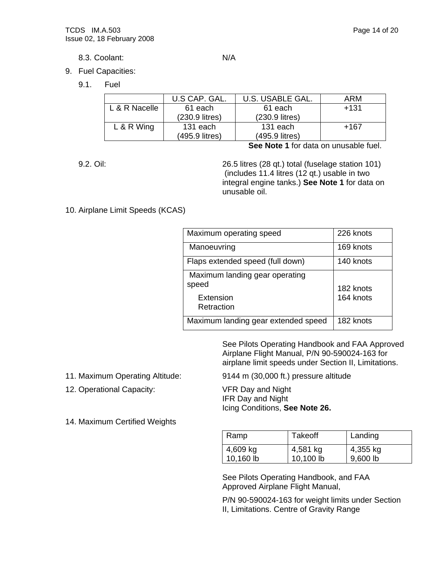8.3. Coolant: N/A

- 9. Fuel Capacities:
	- 9.1. Fuel

|               | U.S CAP. GAL.  | U.S. USABLE GAL. | ARM    |
|---------------|----------------|------------------|--------|
| L & R Nacelle | 61 each        | 61 each          | $+131$ |
|               | (230.9 litres) | (230.9 litres)   |        |
| $L & R$ Wing  | 131 each       | 131 each         | +167   |
|               | (495.9 litres) | (495.9 litres)   |        |

**See Note 1** for data on unusable fuel.

9.2. Oil: 26.5 litres (28 qt.) total (fuselage station 101) (includes 11.4 litres (12 qt.) usable in two integral engine tanks.) **See Note 1** for data on unusable oil.

#### 10. Airplane Limit Speeds (KCAS)

| Maximum operating speed             | 226 knots |
|-------------------------------------|-----------|
| Manoeuvring                         | 169 knots |
| Flaps extended speed (full down)    | 140 knots |
| Maximum landing gear operating      |           |
| speed                               | 182 knots |
| Extension                           | 164 knots |
| Retraction                          |           |
| Maximum landing gear extended speed | 182 knots |

 See Pilots Operating Handbook and FAA Approved Airplane Flight Manual, P/N 90-590024-163 for airplane limit speeds under Section II, Limitations.

- 
- 12. Operational Capacity: VFR Day and Night
- 14. Maximum Certified Weights

11. Maximum Operating Altitude: 9144 m (30,000 ft.) pressure altitude

 IFR Day and Night Icing Conditions, **See Note 26.**

| Ramp                  | <b>Takeoff</b>        | Landing              |
|-----------------------|-----------------------|----------------------|
| 4,609 kg<br>10,160 lb | 4,581 kg<br>10,100 lb | 4,355 kg<br>9,600 lb |

 See Pilots Operating Handbook, and FAA Approved Airplane Flight Manual,

 P/N 90-590024-163 for weight limits under Section II, Limitations. Centre of Gravity Range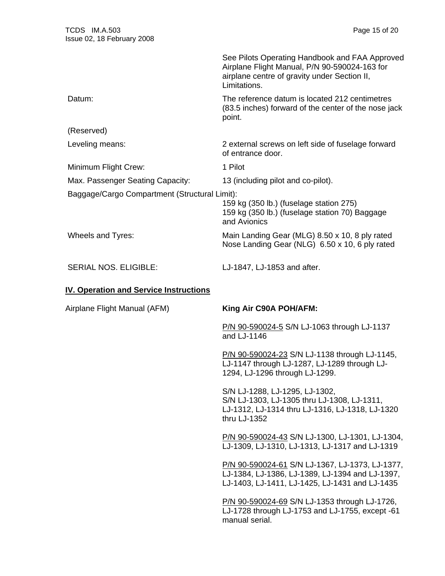|                                               | See Pilots Operating Handbook and FAA Approved<br>Airplane Flight Manual, P/N 90-590024-163 for<br>airplane centre of gravity under Section II,<br>Limitations. |
|-----------------------------------------------|-----------------------------------------------------------------------------------------------------------------------------------------------------------------|
| Datum:                                        | The reference datum is located 212 centimetres<br>(83.5 inches) forward of the center of the nose jack<br>point.                                                |
| (Reserved)                                    |                                                                                                                                                                 |
| Leveling means:                               | 2 external screws on left side of fuselage forward<br>of entrance door.                                                                                         |
| Minimum Flight Crew:                          | 1 Pilot                                                                                                                                                         |
| Max. Passenger Seating Capacity:              | 13 (including pilot and co-pilot).                                                                                                                              |
| Baggage/Cargo Compartment (Structural Limit): | 159 kg (350 lb.) (fuselage station 275)<br>159 kg (350 lb.) (fuselage station 70) Baggage<br>and Avionics                                                       |
| Wheels and Tyres:                             | Main Landing Gear (MLG) 8.50 x 10, 8 ply rated<br>Nose Landing Gear (NLG) 6.50 x 10, 6 ply rated                                                                |
| <b>SERIAL NOS. ELIGIBLE:</b>                  | LJ-1847, LJ-1853 and after.                                                                                                                                     |
| <b>IV. Operation and Service Instructions</b> |                                                                                                                                                                 |
| Airplane Flight Manual (AFM)                  |                                                                                                                                                                 |
|                                               | King Air C90A POH/AFM:                                                                                                                                          |
|                                               | P/N 90-590024-5 S/N LJ-1063 through LJ-1137<br>and LJ-1146                                                                                                      |
|                                               | P/N 90-590024-23 S/N LJ-1138 through LJ-1145,<br>LJ-1147 through LJ-1287, LJ-1289 through LJ-<br>1294, LJ-1296 through LJ-1299.                                 |
|                                               | S/N LJ-1288, LJ-1295, LJ-1302,<br>S/N LJ-1303, LJ-1305 thru LJ-1308, LJ-1311,<br>LJ-1312, LJ-1314 thru LJ-1316, LJ-1318, LJ-1320<br>thru LJ-1352                |
|                                               | P/N 90-590024-43 S/N LJ-1300, LJ-1301, LJ-1304,<br>LJ-1309, LJ-1310, LJ-1313, LJ-1317 and LJ-1319                                                               |
|                                               | P/N 90-590024-61 S/N LJ-1367, LJ-1373, LJ-1377,<br>LJ-1384, LJ-1386, LJ-1389, LJ-1394 and LJ-1397,<br>LJ-1403, LJ-1411, LJ-1425, LJ-1431 and LJ-1435            |
|                                               | P/N 90-590024-69 S/N LJ-1353 through LJ-1726,<br>LJ-1728 through LJ-1753 and LJ-1755, except -61<br>manual serial.                                              |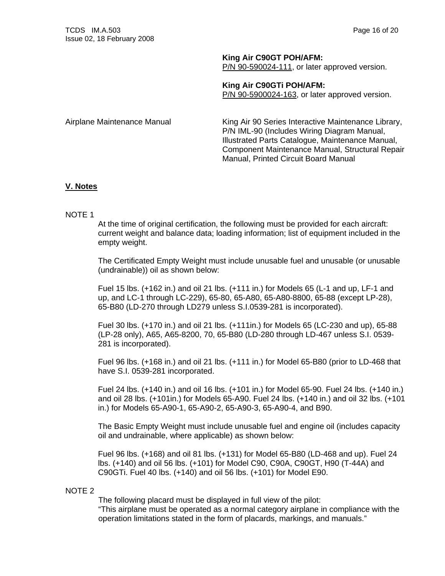**King Air C90GT POH/AFM:**

P/N 90-590024-111, or later approved version.

**King Air C90GTi POH/AFM:** P/N 90-5900024-163, or later approved version.

Airplane Maintenance Manual King Air 90 Series Interactive Maintenance Library, P/N IML-90 (Includes Wiring Diagram Manual, Illustrated Parts Catalogue, Maintenance Manual, Component Maintenance Manual, Structural Repair Manual, Printed Circuit Board Manual

#### **V. Notes**

#### NOTE 1

At the time of original certification, the following must be provided for each aircraft: current weight and balance data; loading information; list of equipment included in the empty weight.

The Certificated Empty Weight must include unusable fuel and unusable (or unusable (undrainable)) oil as shown below:

Fuel 15 lbs. (+162 in.) and oil 21 lbs. (+111 in.) for Models 65 (L-1 and up, LF-1 and up, and LC-1 through LC-229), 65-80, 65-A80, 65-A80-8800, 65-88 (except LP-28), 65-B80 (LD-270 through LD279 unless S.I.0539-281 is incorporated).

Fuel 30 lbs. (+170 in.) and oil 21 lbs. (+111in.) for Models 65 (LC-230 and up), 65-88 (LP-28 only), A65, A65-8200, 70, 65-B80 (LD-280 through LD-467 unless S.I. 0539- 281 is incorporated).

Fuel 96 lbs. (+168 in.) and oil 21 lbs. (+111 in.) for Model 65-B80 (prior to LD-468 that have S.I. 0539-281 incorporated.

Fuel 24 lbs. (+140 in.) and oil 16 lbs. (+101 in.) for Model 65-90. Fuel 24 lbs. (+140 in.) and oil 28 lbs. (+101in.) for Models 65-A90. Fuel 24 lbs. (+140 in.) and oil 32 lbs. (+101 in.) for Models 65-A90-1, 65-A90-2, 65-A90-3, 65-A90-4, and B90.

The Basic Empty Weight must include unusable fuel and engine oil (includes capacity oil and undrainable, where applicable) as shown below:

Fuel 96 lbs. (+168) and oil 81 lbs. (+131) for Model 65-B80 (LD-468 and up). Fuel 24 lbs. (+140) and oil 56 lbs. (+101) for Model C90, C90A, C90GT, H90 (T-44A) and C90GTi. Fuel 40 lbs. (+140) and oil 56 lbs. (+101) for Model E90.

#### NOTE 2

The following placard must be displayed in full view of the pilot:

"This airplane must be operated as a normal category airplane in compliance with the operation limitations stated in the form of placards, markings, and manuals."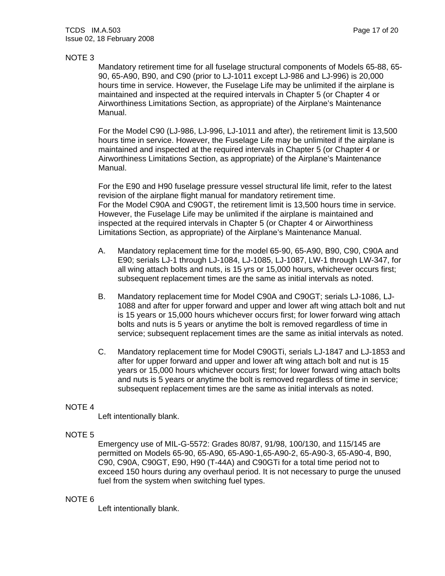#### NOTE 3

Mandatory retirement time for all fuselage structural components of Models 65-88, 65- 90, 65-A90, B90, and C90 (prior to LJ-1011 except LJ-986 and LJ-996) is 20,000 hours time in service. However, the Fuselage Life may be unlimited if the airplane is maintained and inspected at the required intervals in Chapter 5 (or Chapter 4 or Airworthiness Limitations Section, as appropriate) of the Airplane's Maintenance Manual.

For the Model C90 (LJ-986, LJ-996, LJ-1011 and after), the retirement limit is 13,500 hours time in service. However, the Fuselage Life may be unlimited if the airplane is maintained and inspected at the required intervals in Chapter 5 (or Chapter 4 or Airworthiness Limitations Section, as appropriate) of the Airplane's Maintenance Manual.

For the E90 and H90 fuselage pressure vessel structural life limit, refer to the latest revision of the airplane flight manual for mandatory retirement time. For the Model C90A and C90GT, the retirement limit is 13,500 hours time in service. However, the Fuselage Life may be unlimited if the airplane is maintained and inspected at the required intervals in Chapter 5 (or Chapter 4 or Airworthiness Limitations Section, as appropriate) of the Airplane's Maintenance Manual.

- A. Mandatory replacement time for the model 65-90, 65-A90, B90, C90, C90A and E90; serials LJ-1 through LJ-1084, LJ-1085, LJ-1087, LW-1 through LW-347, for all wing attach bolts and nuts, is 15 yrs or 15,000 hours, whichever occurs first; subsequent replacement times are the same as initial intervals as noted.
- B. Mandatory replacement time for Model C90A and C90GT; serials LJ-1086, LJ-1088 and after for upper forward and upper and lower aft wing attach bolt and nut is 15 years or 15,000 hours whichever occurs first; for lower forward wing attach bolts and nuts is 5 years or anytime the bolt is removed regardless of time in service; subsequent replacement times are the same as initial intervals as noted.
- C. Mandatory replacement time for Model C90GTi, serials LJ-1847 and LJ-1853 and after for upper forward and upper and lower aft wing attach bolt and nut is 15 years or 15,000 hours whichever occurs first; for lower forward wing attach bolts and nuts is 5 years or anytime the bolt is removed regardless of time in service; subsequent replacement times are the same as initial intervals as noted.

#### NOTE 4

Left intentionally blank.

#### NOTE 5

Emergency use of MIL-G-5572: Grades 80/87, 91/98, 100/130, and 115/145 are permitted on Models 65-90, 65-A90, 65-A90-1,65-A90-2, 65-A90-3, 65-A90-4, B90, C90, C90A, C90GT, E90, H90 (T-44A) and C90GTi for a total time period not to exceed 150 hours during any overhaul period. It is not necessary to purge the unused fuel from the system when switching fuel types.

#### NOTE 6

Left intentionally blank.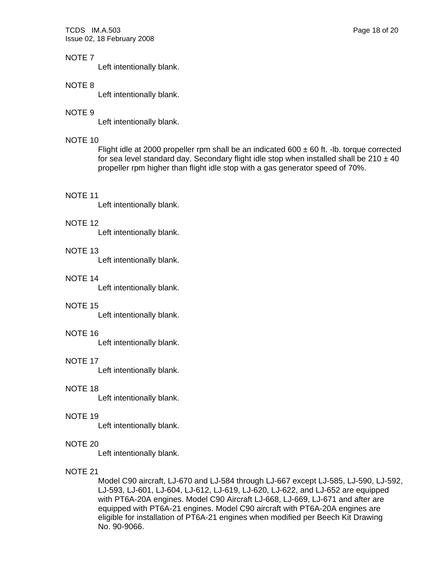TCDS IM.A.503 Page 18 of 20 Issue 02, 18 February 2008

#### NOTE 7

Left intentionally blank.

#### NOTE 8

Left intentionally blank.

#### NOTE 9

Left intentionally blank.

#### NOTE 10

Flight idle at 2000 propeller rpm shall be an indicated 600  $\pm$  60 ft. -Ib. torque corrected for sea level standard day. Secondary flight idle stop when installed shall be  $210 \pm 40$ propeller rpm higher than flight idle stop with a gas generator speed of 70%.

#### NOTE 11

Left intentionally blank.

#### NOTE 12

Left intentionally blank.

#### NOTE 13

Left intentionally blank.

#### NOTE 14

Left intentionally blank.

#### NOTE 15

Left intentionally blank.

#### NOTE 16

Left intentionally blank.

#### NOTE 17

Left intentionally blank.

#### NOTE 18

Left intentionally blank.

#### NOTE 19

Left intentionally blank.

#### NOTE 20

Left intentionally blank.

#### NOTE 21

Model C90 aircraft, LJ-670 and LJ-584 through LJ-667 except LJ-585, LJ-590, LJ-592, LJ-593, LJ-601, LJ-604, LJ-612, LJ-619, LJ-620, LJ-622, and LJ-652 are equipped with PT6A-20A engines. Model C90 Aircraft LJ-668, LJ-669, LJ-671 and after are equipped with PT6A-21 engines. Model C90 aircraft with PT6A-20A engines are eligible for installation of PT6A-21 engines when modified per Beech Kit Drawing No. 90-9066.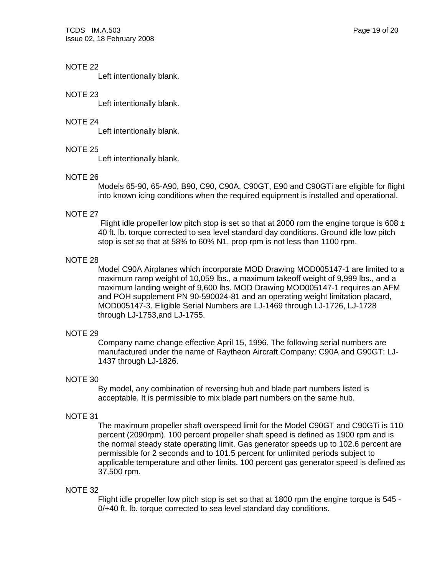TCDS IM.A.503 Page 19 of 20 Issue 02, 18 February 2008

#### NOTE 22

Left intentionally blank.

#### NOTE 23

Left intentionally blank.

#### NOTE 24

Left intentionally blank.

#### NOTE 25

Left intentionally blank.

#### NOTE 26

Models 65-90, 65-A90, B90, C90, C90A, C90GT, E90 and C90GTi are eligible for flight into known icing conditions when the required equipment is installed and operational.

#### NOTE 27

Flight idle propeller low pitch stop is set so that at 2000 rpm the engine torque is 608  $\pm$ 40 ft. lb. torque corrected to sea level standard day conditions. Ground idle low pitch stop is set so that at 58% to 60% N1, prop rpm is not less than 1100 rpm.

#### NOTE 28

Model C90A Airplanes which incorporate MOD Drawing MOD005147-1 are limited to a maximum ramp weight of 10,059 lbs., a maximum takeoff weight of 9,999 lbs., and a maximum landing weight of 9,600 lbs. MOD Drawing MOD005147-1 requires an AFM and POH supplement PN 90-590024-81 and an operating weight limitation placard, MOD005147-3. Eligible Serial Numbers are LJ-1469 through LJ-1726, LJ-1728 through LJ-1753,and LJ-1755.

#### NOTE 29

Company name change effective April 15, 1996. The following serial numbers are manufactured under the name of Raytheon Aircraft Company: C90A and G90GT: LJ-1437 through LJ-1826.

#### NOTE 30

By model, any combination of reversing hub and blade part numbers listed is acceptable. It is permissible to mix blade part numbers on the same hub.

#### NOTE 31

The maximum propeller shaft overspeed limit for the Model C90GT and C90GTi is 110 percent (2090rpm). 100 percent propeller shaft speed is defined as 1900 rpm and is the normal steady state operating limit. Gas generator speeds up to 102.6 percent are permissible for 2 seconds and to 101.5 percent for unlimited periods subject to applicable temperature and other limits. 100 percent gas generator speed is defined as 37,500 rpm.

#### NOTE 32

Flight idle propeller low pitch stop is set so that at 1800 rpm the engine torque is 545 - 0/+40 ft. lb. torque corrected to sea level standard day conditions.